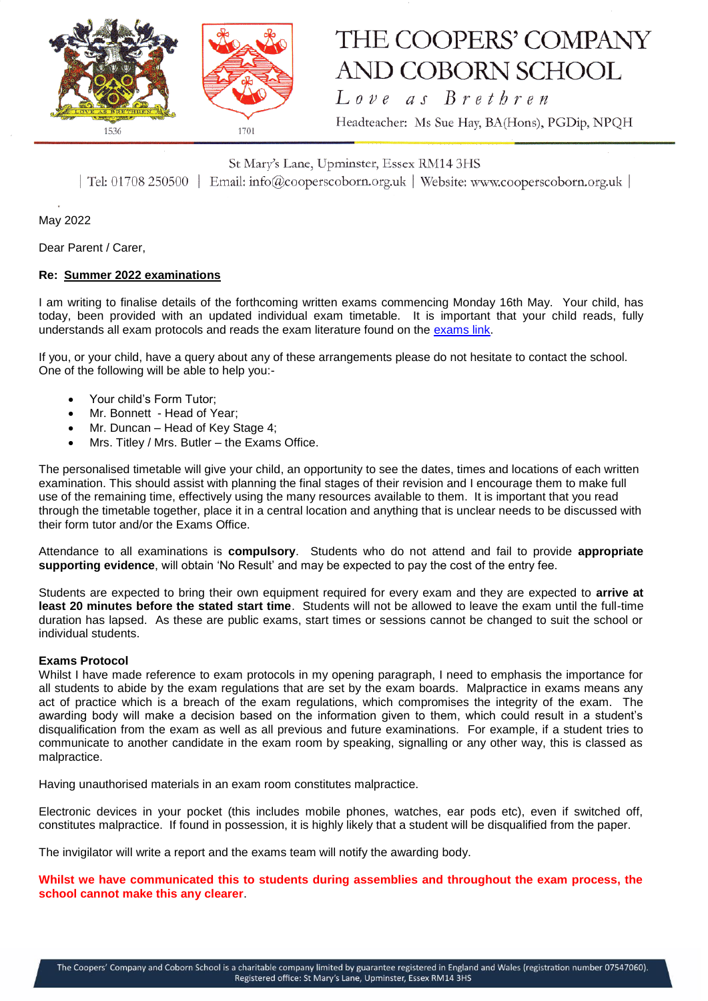

# THE COOPERS' COMPANY **AND COBORN SCHOOL**

Love as Brethren

Headteacher: Ms Sue Hay, BA(Hons), PGDip, NPQH

St Mary's Lane, Upminster, Essex RM14 3HS

| Tel: 01708 250500 | Email: info@cooperscoborn.org.uk | Website: www.cooperscoborn.org.uk |

May 2022

Dear Parent / Carer,

## **Re: Summer 2022 examinations**

I am writing to finalise details of the forthcoming written exams commencing Monday 16th May. Your child, has today, been provided with an updated individual exam timetable. It is important that your child reads, fully understands all exam protocols and reads the exam literature found on the [exams link.](https://www.cooperscoborn.org.uk/examinations/)

If you, or your child, have a query about any of these arrangements please do not hesitate to contact the school. One of the following will be able to help you:-

- Your child's Form Tutor;
- Mr. Bonnett Head of Year;
- Mr. Duncan Head of Key Stage 4;
- Mrs. Titley / Mrs. Butler the Exams Office.

The personalised timetable will give your child, an opportunity to see the dates, times and locations of each written examination. This should assist with planning the final stages of their revision and I encourage them to make full use of the remaining time, effectively using the many resources available to them. It is important that you read through the timetable together, place it in a central location and anything that is unclear needs to be discussed with their form tutor and/or the Exams Office.

Attendance to all examinations is **compulsory**. Students who do not attend and fail to provide **appropriate supporting evidence**, will obtain 'No Result' and may be expected to pay the cost of the entry fee.

Students are expected to bring their own equipment required for every exam and they are expected to **arrive at least 20 minutes before the stated start time**. Students will not be allowed to leave the exam until the full-time duration has lapsed. As these are public exams, start times or sessions cannot be changed to suit the school or individual students.

#### **Exams Protocol**

Whilst I have made reference to exam protocols in my opening paragraph, I need to emphasis the importance for all students to abide by the exam regulations that are set by the exam boards. Malpractice in exams means any act of practice which is a breach of the exam regulations, which compromises the integrity of the exam. The awarding body will make a decision based on the information given to them, which could result in a student's disqualification from the exam as well as all previous and future examinations. For example, if a student tries to communicate to another candidate in the exam room by speaking, signalling or any other way, this is classed as malpractice.

Having unauthorised materials in an exam room constitutes malpractice.

Electronic devices in your pocket (this includes mobile phones, watches, ear pods etc), even if switched off, constitutes malpractice. If found in possession, it is highly likely that a student will be disqualified from the paper.

The invigilator will write a report and the exams team will notify the awarding body.

**Whilst we have communicated this to students during assemblies and throughout the exam process, the school cannot make this any clearer**.